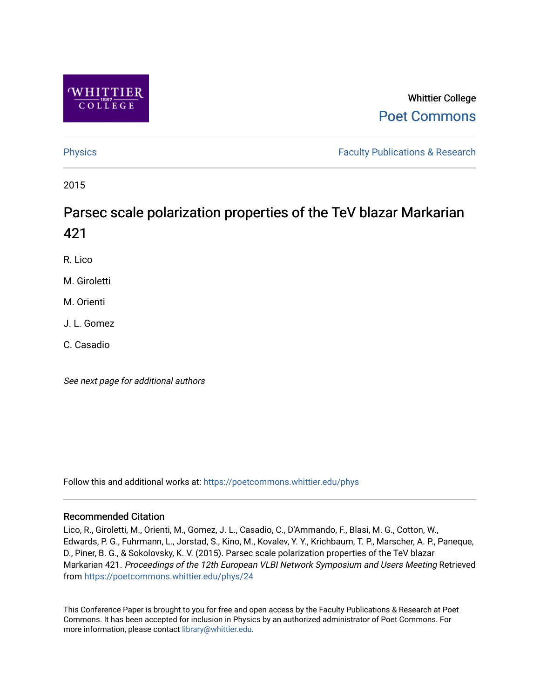

### Whittier College [Poet Commons](https://poetcommons.whittier.edu/)

[Physics](https://poetcommons.whittier.edu/phys) **Faculty Publications & Research Physics Faculty Publications & Research** 

2015

## Parsec scale polarization properties of the TeV blazar Markarian 421

R. Lico

M. Giroletti

M. Orienti

J. L. Gomez

C. Casadio

See next page for additional authors

Follow this and additional works at: [https://poetcommons.whittier.edu/phys](https://poetcommons.whittier.edu/phys?utm_source=poetcommons.whittier.edu%2Fphys%2F24&utm_medium=PDF&utm_campaign=PDFCoverPages)

### Recommended Citation

Lico, R., Giroletti, M., Orienti, M., Gomez, J. L., Casadio, C., D'Ammando, F., Blasi, M. G., Cotton, W., Edwards, P. G., Fuhrmann, L., Jorstad, S., Kino, M., Kovalev, Y. Y., Krichbaum, T. P., Marscher, A. P., Paneque, D., Piner, B. G., & Sokolovsky, K. V. (2015). Parsec scale polarization properties of the TeV blazar Markarian 421. Proceedings of the 12th European VLBI Network Symposium and Users Meeting Retrieved from [https://poetcommons.whittier.edu/phys/24](https://poetcommons.whittier.edu/phys/24?utm_source=poetcommons.whittier.edu%2Fphys%2F24&utm_medium=PDF&utm_campaign=PDFCoverPages)

This Conference Paper is brought to you for free and open access by the Faculty Publications & Research at Poet Commons. It has been accepted for inclusion in Physics by an authorized administrator of Poet Commons. For more information, please contact [library@whittier.edu.](mailto:library@whittier.edu)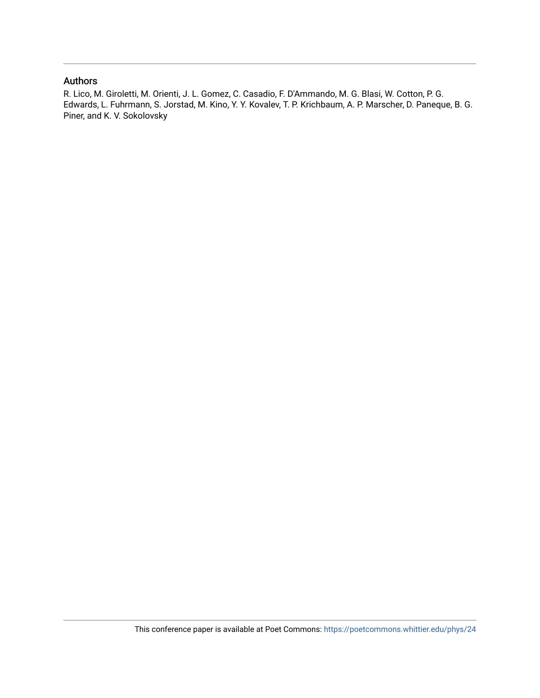#### Authors

R. Lico, M. Giroletti, M. Orienti, J. L. Gomez, C. Casadio, F. D'Ammando, M. G. Blasi, W. Cotton, P. G. Edwards, L. Fuhrmann, S. Jorstad, M. Kino, Y. Y. Kovalev, T. P. Krichbaum, A. P. Marscher, D. Paneque, B. G. Piner, and K. V. Sokolovsky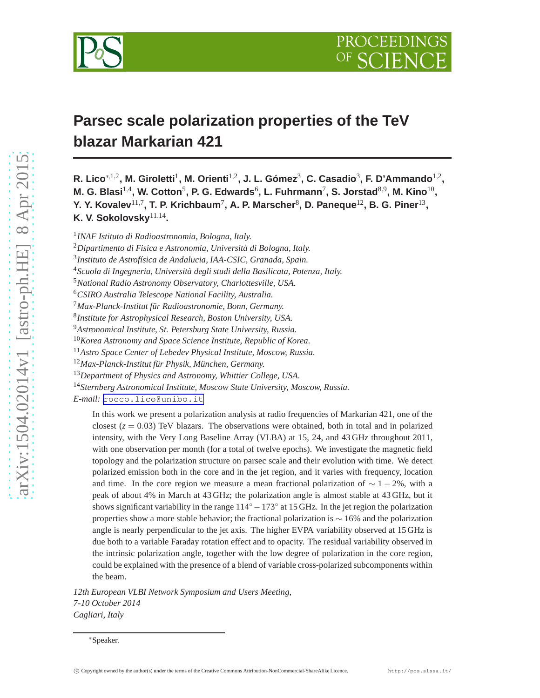

# **Parsec scale polarization properties of the TeV blazar Markarian 421**

**R. Lico**∗<sup>1,2</sup>, **M. Giroletti<sup>1</sup>, M. Orienti<sup>1,2</sup>, J. L. Gómez<sup>3</sup>, C. Casadio<sup>3</sup>, F. D'Ammando<sup>1,2</sup>,** M. G. Blasi<sup>1,4</sup>, W. Cotton<sup>5</sup>, P. G. Edwards<sup>6</sup>, L. Fuhrmann<sup>7</sup>, S. Jorstad<sup>8,9</sup>, M. Kino<sup>10</sup>, Y. Y. Kovalev $^{11,7}$ , T. P. Krichbaum<sup>7</sup>, A. P. Marscher $^8$ , D. Paneque $^{12}$ , B. G. Piner $^{13}$ , **K. V. Sokolovsky**11,<sup>14</sup> **.**

1 *INAF Istituto di Radioastronomia, Bologna, Italy.*

<sup>2</sup>*Dipartimento di Fisica e Astronomia, Università di Bologna, Italy.*

3 *Instituto de Astrofísica de Andalucia, IAA-CSIC, Granada, Spain.*

<sup>4</sup>*Scuola di Ingegneria, Università degli studi della Basilicata, Potenza, Italy.*

<sup>5</sup>*National Radio Astronomy Observatory, Charlottesville, USA.*

<sup>6</sup>*CSIRO Australia Telescope National Facility, Australia.*

<sup>7</sup>*Max-Planck-Institut für Radioastronomie, Bonn, Germany.*

8 *Institute for Astrophysical Research, Boston University, USA.*

<sup>9</sup>*Astronomical Institute, St. Petersburg State University, Russia.*

<sup>10</sup>*Korea Astronomy and Space Science Institute, Republic of Korea.*

<sup>11</sup>*Astro Space Center of Lebedev Physical Institute, Moscow, Russia.*

<sup>12</sup>*Max-Planck-Institut für Physik, München, Germany.*

<sup>13</sup>*Department of Physics and Astronomy, Whittier College, USA.*

<sup>14</sup>*Sternberg Astronomical Institute, Moscow State University, Moscow, Russia.*

*E-mail:* [rocco.lico@unibo.it](mailto:rocco.lico@unibo.it)

In this work we present a polarization analysis at radio frequencies of Markarian 421, one of the closest  $(z = 0.03)$  TeV blazars. The observations were obtained, both in total and in polarized intensity, with the Very Long Baseline Array (VLBA) at 15, 24, and 43 GHz throughout 2011, with one observation per month (for a total of twelve epochs). We investigate the magnetic field topology and the polarization structure on parsec scale and their evolution with time. We detect polarized emission both in the core and in the jet region, and it varies with frequency, location and time. In the core region we measure a mean fractional polarization of  $\sim 1-2\%$ , with a peak of about 4% in March at 43 GHz; the polarization angle is almost stable at 43 GHz, but it shows significant variability in the range  $114° - 173°$  at 15 GHz. In the jet region the polarization properties show a more stable behavior; the fractional polarization is ∼ 16% and the polarization angle is nearly perpendicular to the jet axis. The higher EVPA variability observed at 15 GHz is due both to a variable Faraday rotation effect and to opacity. The residual variability observed in the intrinsic polarization angle, together with the low degree of polarization in the core region, could be explained with the presence of a blend of variable cross-polarized subcomponents within the beam.

*12th European VLBI Network Symposium and Users Meeting, 7-10 October 2014 Cagliari, Italy*

<sup>∗</sup>Speaker.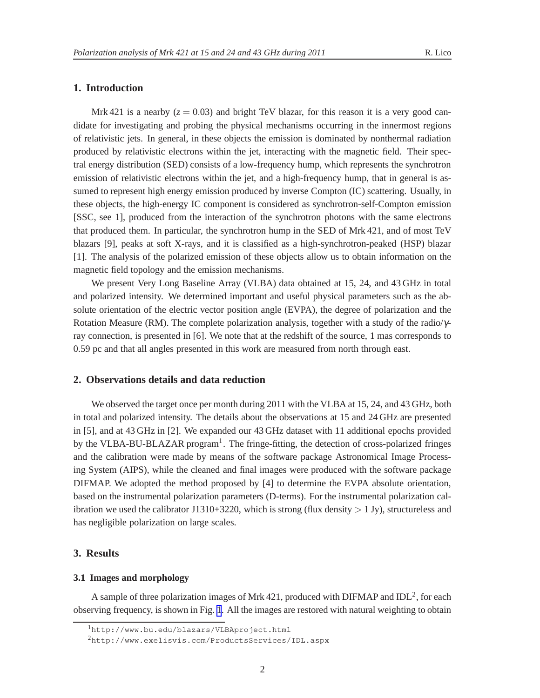#### **1. Introduction**

Mrk 421 is a nearby  $(z = 0.03)$  and bright TeV blazar, for this reason it is a very good candidate for investigating and probing the physical mechanisms occurring in the innermost regions of relativistic jets. In general, in these objects the emission is dominated by nonthermal radiation produced by relativistic electrons within the jet, interacting with the magnetic field. Their spectral energy distribution (SED) consists of a low-frequency hump, which represents the synchrotron emission of relativistic electrons within the jet, and a high-frequency hump, that in general is assumed to represent high energy emission produced by inverse Compton (IC) scattering. Usually, in these objects, the high-energy IC component is considered as synchrotron-self-Compton emission [SSC, see 1], produced from the interaction of the synchrotron photons with the same electrons that produced them. In particular, the synchrotron hump in the SED of Mrk 421, and of most TeV blazars [9], peaks at soft X-rays, and it is classified as a high-synchrotron-peaked (HSP) blazar [1]. The analysis of the polarized emission of these objects allow us to obtain information on the magnetic field topology and the emission mechanisms.

We present Very Long Baseline Array (VLBA) data obtained at 15, 24, and 43 GHz in total and polarized intensity. We determined important and useful physical parameters such as the absolute orientation of the electric vector position angle (EVPA), the degree of polarization and the Rotation Measure (RM). The complete polarization analysis, together with a study of the radio/γray connection, is presented in [6]. We note that at the redshift of the source, 1 mas corresponds to 0.59 pc and that all angles presented in this work are measured from north through east.

#### **2. Observations details and data reduction**

We observed the target once per month during 2011 with the VLBA at 15, 24, and 43 GHz, both in total and polarized intensity. The details about the observations at 15 and 24 GHz are presented in [5], and at 43 GHz in [2]. We expanded our 43 GHz dataset with 11 additional epochs provided by the VLBA-BU-BLAZAR program<sup>1</sup>. The fringe-fitting, the detection of cross-polarized fringes and the calibration were made by means of the software package Astronomical Image Processing System (AIPS), while the cleaned and final images were produced with the software package DIFMAP. We adopted the method proposed by [4] to determine the EVPA absolute orientation, based on the instrumental polarization parameters (D-terms). For the instrumental polarization calibration we used the calibrator J1310+3220, which is strong (flux density  $> 1$  Jy), structureless and has negligible polarization on large scales.

### **3. Results**

#### **3.1 Images and morphology**

A sample of three polarization images of Mrk 421, produced with DIFMAP and IDL<sup>2</sup>, for each observing frequency, is shown in Fig. [1](#page-4-0). All the images are restored with natural weighting to obtain

<sup>1</sup>http://www.bu.edu/blazars/VLBAproject.html

<sup>2</sup>http://www.exelisvis.com/ProductsServices/IDL.aspx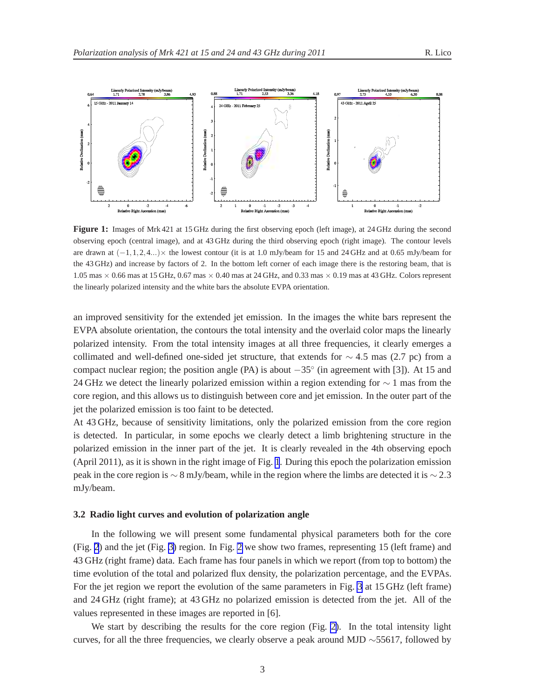<span id="page-4-0"></span>

**Figure 1:** Images of Mrk 421 at 15 GHz during the first observing epoch (left image), at 24 GHz during the second observing epoch (central image), and at 43 GHz during the third observing epoch (right image). The contour levels are drawn at  $(-1,1,2,4...)\times$  the lowest contour (it is at 1.0 mJy/beam for 15 and 24 GHz and at 0.65 mJy/beam for the 43 GHz) and increase by factors of 2. In the bottom left corner of each image there is the restoring beam, that is 1.05 mas  $\times$  0.66 mas at 15 GHz, 0.67 mas  $\times$  0.40 mas at 24 GHz, and 0.33 mas  $\times$  0.19 mas at 43 GHz. Colors represent the linearly polarized intensity and the white bars the absolute EVPA orientation.

an improved sensitivity for the extended jet emission. In the images the white bars represent the EVPA absolute orientation, the contours the total intensity and the overlaid color maps the linearly polarized intensity. From the total intensity images at all three frequencies, it clearly emerges a collimated and well-defined one-sided jet structure, that extends for  $\sim$  4.5 mas (2.7 pc) from a compact nuclear region; the position angle (PA) is about  $-35^\circ$  (in agreement with [3]). At 15 and 24 GHz we detect the linearly polarized emission within a region extending for  $\sim$  1 mas from the core region, and this allows us to distinguish between core and jet emission. In the outer part of the jet the polarized emission is too faint to be detected.

At 43 GHz, because of sensitivity limitations, only the polarized emission from the core region is detected. In particular, in some epochs we clearly detect a limb brightening structure in the polarized emission in the inner part of the jet. It is clearly revealed in the 4th observing epoch (April 2011), as it is shown in the right image of Fig. 1. During this epoch the polarization emission peak in the core region is  $\sim 8$  mJy/beam, while in the region where the limbs are detected it is  $\sim 2.3$ mJy/beam.

#### **3.2 Radio light curves and evolution of polarization angle**

In the following we will present some fundamental physical parameters both for the core (Fig. [2](#page-5-0)) and the jet (Fig. [3\)](#page-6-0) region. In Fig. [2](#page-5-0) we show two frames, representing 15 (left frame) and 43 GHz (right frame) data. Each frame has four panels in which we report (from top to bottom) the time evolution of the total and polarized flux density, the polarization percentage, and the EVPAs. For the jet region we report the evolution of the same parameters in Fig. [3](#page-6-0) at 15 GHz (left frame) and 24 GHz (right frame); at 43 GHz no polarized emission is detected from the jet. All of the values represented in these images are reported in [6].

We start by describing the results for the core region (Fig. [2\)](#page-5-0). In the total intensity light curves, for all the three frequencies, we clearly observe a peak around MJD ∼55617, followed by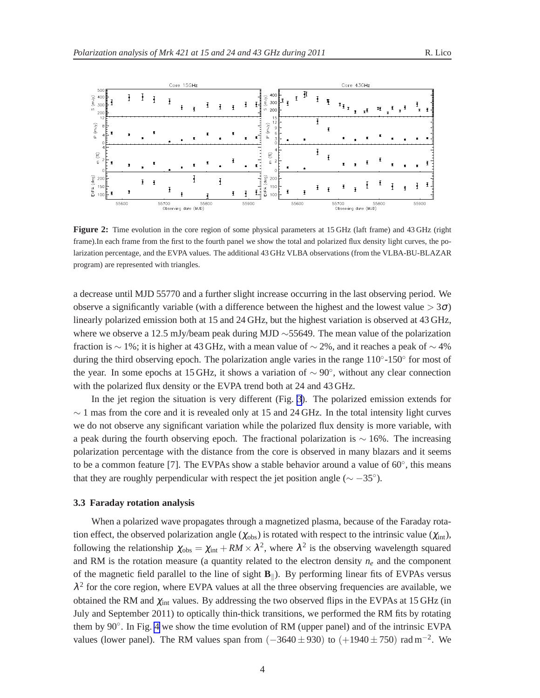<span id="page-5-0"></span>

**Figure 2:** Time evolution in the core region of some physical parameters at 15 GHz (laft frame) and 43 GHz (right frame).In each frame from the first to the fourth panel we show the total and polarized flux density light curves, the polarization percentage, and the EVPA values. The additional 43 GHz VLBA observations (from the VLBA-BU-BLAZAR program) are represented with triangles.

a decrease until MJD 55770 and a further slight increase occurring in the last observing period. We observe a significantly variable (with a difference between the highest and the lowest value  $>$  3 $\sigma$ ) linearly polarized emission both at 15 and 24 GHz, but the highest variation is observed at 43 GHz, where we observe a 12.5 mJy/beam peak during MJD ∼55649. The mean value of the polarization fraction is ∼ 1%; it is higher at 43 GHz, with a mean value of  $\sim$  2%, and it reaches a peak of  $\sim$  4% during the third observing epoch. The polarization angle varies in the range 110°-150° for most of the year. In some epochs at 15 GHz, it shows a variation of  $\sim 90^{\circ}$ , without any clear connection with the polarized flux density or the EVPA trend both at 24 and 43 GHz.

In the jet region the situation is very different (Fig. [3](#page-6-0)). The polarized emission extends for  $\sim$  1 mas from the core and it is revealed only at 15 and 24 GHz. In the total intensity light curves we do not observe any significant variation while the polarized flux density is more variable, with a peak during the fourth observing epoch. The fractional polarization is  $\sim$  16%. The increasing polarization percentage with the distance from the core is observed in many blazars and it seems to be a common feature [7]. The EVPAs show a stable behavior around a value of  $60^\circ$ , this means that they are roughly perpendicular with respect the jet position angle ( $\sim -35^{\circ}$ ).

#### **3.3 Faraday rotation analysis**

When a polarized wave propagates through a magnetized plasma, because of the Faraday rotation effect, the observed polarization angle ( $\chi_{obs}$ ) is rotated with respect to the intrinsic value ( $\chi_{int}$ ), following the relationship  $\chi_{obs} = \chi_{int} + RM \times \lambda^2$ , where  $\lambda^2$  is the observing wavelength squared and RM is the rotation measure (a quantity related to the electron density  $n_e$  and the component of the magnetic field parallel to the line of sight  $\mathbf{B}_{\parallel}$ ). By performing linear fits of EVPAs versus  $\lambda^2$  for the core region, where EVPA values at all the three observing frequencies are available, we obtained the RM and  $\chi_{int}$  values. By addressing the two observed flips in the EVPAs at 15 GHz (in July and September 2011) to optically thin-thick transitions, we performed the RM fits by rotating them by 90◦ . In Fig. [4](#page-7-0) we show the time evolution of RM (upper panel) and of the intrinsic EVPA values (lower panel). The RM values span from  $(-3640 \pm 930)$  to  $(+1940 \pm 750)$  rad m<sup>-2</sup>. We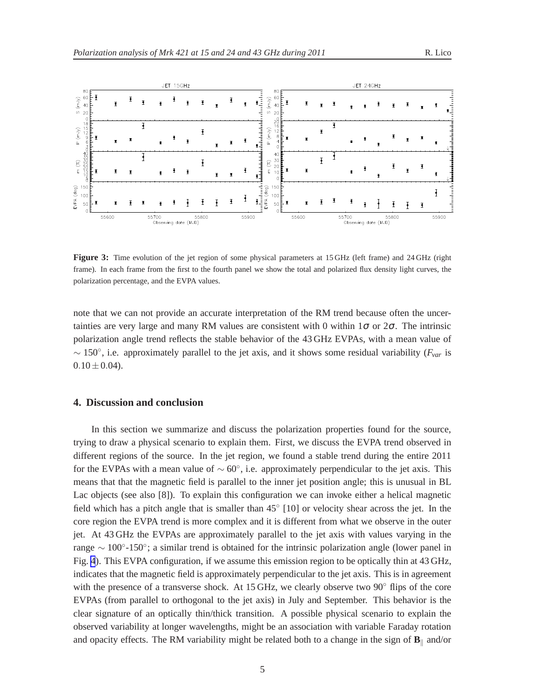<span id="page-6-0"></span>

**Figure 3:** Time evolution of the jet region of some physical parameters at 15 GHz (left frame) and 24 GHz (right frame). In each frame from the first to the fourth panel we show the total and polarized flux density light curves, the polarization percentage, and the EVPA values.

note that we can not provide an accurate interpretation of the RM trend because often the uncertainties are very large and many RM values are consistent with 0 within  $1\sigma$  or  $2\sigma$ . The intrinsic polarization angle trend reflects the stable behavior of the 43 GHz EVPAs, with a mean value of ∼ 150◦ , i.e. approximately parallel to the jet axis, and it shows some residual variability (*Fvar* is  $0.10 \pm 0.04$ .

#### **4. Discussion and conclusion**

In this section we summarize and discuss the polarization properties found for the source, trying to draw a physical scenario to explain them. First, we discuss the EVPA trend observed in different regions of the source. In the jet region, we found a stable trend during the entire 2011 for the EVPAs with a mean value of  $\sim 60^{\circ}$ , i.e. approximately perpendicular to the jet axis. This means that that the magnetic field is parallel to the inner jet position angle; this is unusual in BL Lac objects (see also [8]). To explain this configuration we can invoke either a helical magnetic field which has a pitch angle that is smaller than 45° [10] or velocity shear across the jet. In the core region the EVPA trend is more complex and it is different from what we observe in the outer jet. At 43 GHz the EVPAs are approximately parallel to the jet axis with values varying in the range ~ 100°-150°; a similar trend is obtained for the intrinsic polarization angle (lower panel in Fig. [4](#page-7-0)). This EVPA configuration, if we assume this emission region to be optically thin at 43 GHz, indicates that the magnetic field is approximately perpendicular to the jet axis. This is in agreement with the presence of a transverse shock. At 15 GHz, we clearly observe two 90◦ flips of the core EVPAs (from parallel to orthogonal to the jet axis) in July and September. This behavior is the clear signature of an optically thin/thick transition. A possible physical scenario to explain the observed variability at longer wavelengths, might be an association with variable Faraday rotation and opacity effects. The RM variability might be related both to a change in the sign of  $\mathbf{B}_{\parallel}$  and/or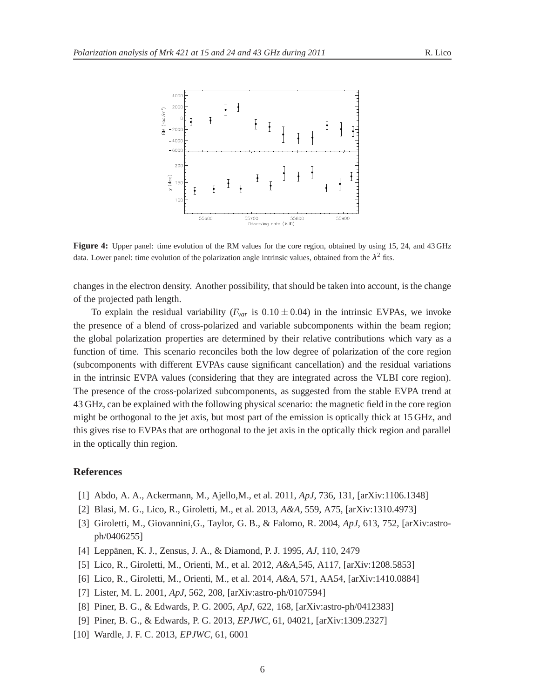<span id="page-7-0"></span>

**Figure 4:** Upper panel: time evolution of the RM values for the core region, obtained by using 15, 24, and 43 GHz data. Lower panel: time evolution of the polarization angle intrinsic values, obtained from the  $\lambda^2$  fits.

changes in the electron density. Another possibility, that should be taken into account, is the change of the projected path length.

To explain the residual variability ( $F_{var}$  is  $0.10 \pm 0.04$ ) in the intrinsic EVPAs, we invoke the presence of a blend of cross-polarized and variable subcomponents within the beam region; the global polarization properties are determined by their relative contributions which vary as a function of time. This scenario reconciles both the low degree of polarization of the core region (subcomponents with different EVPAs cause significant cancellation) and the residual variations in the intrinsic EVPA values (considering that they are integrated across the VLBI core region). The presence of the cross-polarized subcomponents, as suggested from the stable EVPA trend at 43 GHz, can be explained with the following physical scenario: the magnetic field in the core region might be orthogonal to the jet axis, but most part of the emission is optically thick at 15 GHz, and this gives rise to EVPAs that are orthogonal to the jet axis in the optically thick region and parallel in the optically thin region.

#### **References**

- [1] Abdo, A. A., Ackermann, M., Ajello,M., et al. 2011, *ApJ*, 736, 131, [arXiv:1106.1348]
- [2] Blasi, M. G., Lico, R., Giroletti, M., et al. 2013, *A&A*, 559, A75, [arXiv:1310.4973]
- [3] Giroletti, M., Giovannini,G., Taylor, G. B., & Falomo, R. 2004, *ApJ*, 613, 752, [arXiv:astroph/0406255]
- [4] Leppänen, K. J., Zensus, J. A., & Diamond, P. J. 1995, *AJ*, 110, 2479
- [5] Lico, R., Giroletti, M., Orienti, M., et al. 2012, *A&A*,545, A117, [arXiv:1208.5853]
- [6] Lico, R., Giroletti, M., Orienti, M., et al. 2014, *A&A*, 571, AA54, [arXiv:1410.0884]
- [7] Lister, M. L. 2001, *ApJ*, 562, 208, [arXiv:astro-ph/0107594]
- [8] Piner, B. G., & Edwards, P. G. 2005, *ApJ*, 622, 168, [arXiv:astro-ph/0412383]
- [9] Piner, B. G., & Edwards, P. G. 2013, *EPJWC*, 61, 04021, [arXiv:1309.2327]
- [10] Wardle, J. F. C. 2013, *EPJWC*, 61, 6001